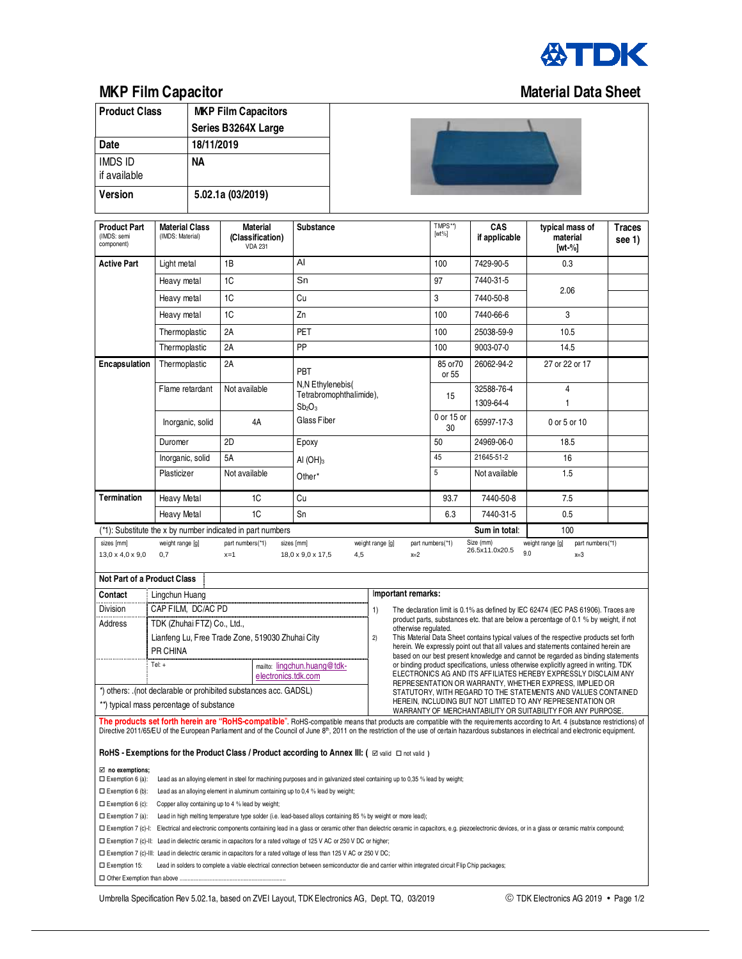

## **MKP Film Capacitor Material Data Sheet**

| <b>Product Class</b>                                                                                                                                                                                                                                                                                                                                                                                                                                    |                                                                                                                                                                                                                                       | <b>MKP Film Capacitors</b> |                                                                                                |             |  |  |                                                                                                               |                                                                                                                                                                        |                                           |                         |  |  |
|---------------------------------------------------------------------------------------------------------------------------------------------------------------------------------------------------------------------------------------------------------------------------------------------------------------------------------------------------------------------------------------------------------------------------------------------------------|---------------------------------------------------------------------------------------------------------------------------------------------------------------------------------------------------------------------------------------|----------------------------|------------------------------------------------------------------------------------------------|-------------|--|--|---------------------------------------------------------------------------------------------------------------|------------------------------------------------------------------------------------------------------------------------------------------------------------------------|-------------------------------------------|-------------------------|--|--|
|                                                                                                                                                                                                                                                                                                                                                                                                                                                         |                                                                                                                                                                                                                                       | Series B3264X Large        |                                                                                                |             |  |  |                                                                                                               |                                                                                                                                                                        |                                           |                         |  |  |
| <b>Date</b>                                                                                                                                                                                                                                                                                                                                                                                                                                             |                                                                                                                                                                                                                                       |                            | 18/11/2019                                                                                     |             |  |  |                                                                                                               |                                                                                                                                                                        |                                           |                         |  |  |
| <b>IMDS ID</b><br>if available                                                                                                                                                                                                                                                                                                                                                                                                                          |                                                                                                                                                                                                                                       | NΑ                         |                                                                                                |             |  |  |                                                                                                               |                                                                                                                                                                        |                                           |                         |  |  |
| <b>Version</b>                                                                                                                                                                                                                                                                                                                                                                                                                                          |                                                                                                                                                                                                                                       | 5.02.1a (03/2019)          |                                                                                                |             |  |  |                                                                                                               |                                                                                                                                                                        |                                           |                         |  |  |
| <b>Product Part</b><br>(IMDS: semi<br>component)                                                                                                                                                                                                                                                                                                                                                                                                        | <b>Material Class</b><br>(IMDS: Material)                                                                                                                                                                                             |                            | <b>Material</b><br>(Classification)<br><b>VDA 231</b>                                          | Substance   |  |  | TMPS**)<br>$[wt\%]$                                                                                           | CAS<br>if applicable                                                                                                                                                   | typical mass of<br>material<br>[wt- $%$ ] | <b>Traces</b><br>see 1) |  |  |
| <b>Active Part</b>                                                                                                                                                                                                                                                                                                                                                                                                                                      | Light metal                                                                                                                                                                                                                           |                            | 1B                                                                                             | AI          |  |  |                                                                                                               | 100                                                                                                                                                                    | 7429-90-5                                 | 0.3                     |  |  |
|                                                                                                                                                                                                                                                                                                                                                                                                                                                         | Heavy metal                                                                                                                                                                                                                           |                            | 1C                                                                                             | Sn          |  |  | 97                                                                                                            | 7440-31-5                                                                                                                                                              | 2.06                                      |                         |  |  |
|                                                                                                                                                                                                                                                                                                                                                                                                                                                         | Heavy metal                                                                                                                                                                                                                           |                            | 1C                                                                                             | Сu          |  |  | 3                                                                                                             | 7440-50-8                                                                                                                                                              |                                           |                         |  |  |
|                                                                                                                                                                                                                                                                                                                                                                                                                                                         | Heavy metal                                                                                                                                                                                                                           |                            | 1C                                                                                             | Zn          |  |  | 100                                                                                                           | 7440-66-6                                                                                                                                                              | 3                                         |                         |  |  |
|                                                                                                                                                                                                                                                                                                                                                                                                                                                         | Thermoplastic                                                                                                                                                                                                                         |                            | 2A                                                                                             | PET         |  |  | 100                                                                                                           | 25038-59-9                                                                                                                                                             | 10.5                                      |                         |  |  |
|                                                                                                                                                                                                                                                                                                                                                                                                                                                         | Thermoplastic                                                                                                                                                                                                                         |                            | 2A<br>PP                                                                                       |             |  |  |                                                                                                               | 100                                                                                                                                                                    | 9003-07-0                                 | 14.5                    |  |  |
| <b>Encapsulation</b>                                                                                                                                                                                                                                                                                                                                                                                                                                    | Thermoplastic                                                                                                                                                                                                                         |                            | 2A<br>PBT                                                                                      |             |  |  |                                                                                                               | 85 or 70<br>or 55                                                                                                                                                      | 26062-94-2                                | 27 or 22 or 17          |  |  |
|                                                                                                                                                                                                                                                                                                                                                                                                                                                         | Flame retardant                                                                                                                                                                                                                       |                            | N,N Ethylenebis(<br>Not available<br>Tetrabromophthalimide),<br>Sb <sub>2</sub> O <sub>3</sub> |             |  |  |                                                                                                               | 15                                                                                                                                                                     | 32588-76-4<br>1309-64-4                   | 4<br>1                  |  |  |
|                                                                                                                                                                                                                                                                                                                                                                                                                                                         | Inorganic, solid                                                                                                                                                                                                                      |                            | Glass Fiber<br>4A                                                                              |             |  |  |                                                                                                               | 0 or 15 or<br>30                                                                                                                                                       | 65997-17-3                                | 0 or 5 or 10            |  |  |
|                                                                                                                                                                                                                                                                                                                                                                                                                                                         | Duromer                                                                                                                                                                                                                               |                            | 2D                                                                                             | Epoxy       |  |  |                                                                                                               | 50                                                                                                                                                                     | 24969-06-0                                | 18.5                    |  |  |
|                                                                                                                                                                                                                                                                                                                                                                                                                                                         | Inorganic, solid                                                                                                                                                                                                                      |                            | <b>5A</b>                                                                                      | AI $(OH)_3$ |  |  | 45                                                                                                            | 21645-51-2                                                                                                                                                             | 16                                        |                         |  |  |
|                                                                                                                                                                                                                                                                                                                                                                                                                                                         | Plasticizer                                                                                                                                                                                                                           |                            | Not available                                                                                  | Other*      |  |  |                                                                                                               | 5                                                                                                                                                                      | Not available                             | 1.5                     |  |  |
| Termination                                                                                                                                                                                                                                                                                                                                                                                                                                             | <b>Heavy Metal</b>                                                                                                                                                                                                                    |                            | 1C                                                                                             | Cu          |  |  |                                                                                                               | 93.7                                                                                                                                                                   | 7440-50-8                                 | 7.5                     |  |  |
|                                                                                                                                                                                                                                                                                                                                                                                                                                                         | <b>Heavy Metal</b>                                                                                                                                                                                                                    |                            | 1C<br>Sn                                                                                       |             |  |  |                                                                                                               | 6.3                                                                                                                                                                    | 7440-31-5                                 | 0.5                     |  |  |
| (*1): Substitute the x by number indicated in part numbers<br>Sum in total:<br>100<br>Size (mm)<br>weight range [g]<br>part numbers(*1)<br>sizes [mm]<br>part numbers(*1)                                                                                                                                                                                                                                                                               |                                                                                                                                                                                                                                       |                            |                                                                                                |             |  |  |                                                                                                               |                                                                                                                                                                        |                                           |                         |  |  |
| weight range [g]<br>weight range [g]<br>part numbers(*1)<br>sizes [mm]<br>26.5x11.0x20.5<br>9.0<br>$13,0 \times 4,0 \times 9,0$<br>0,7<br>$x=1$<br>18,0 x 9,0 x 17,5<br>4,5<br>$x=2$<br>$x=3$                                                                                                                                                                                                                                                           |                                                                                                                                                                                                                                       |                            |                                                                                                |             |  |  |                                                                                                               |                                                                                                                                                                        |                                           |                         |  |  |
| Not Part of a Product Class                                                                                                                                                                                                                                                                                                                                                                                                                             |                                                                                                                                                                                                                                       |                            |                                                                                                |             |  |  |                                                                                                               |                                                                                                                                                                        |                                           |                         |  |  |
| Contact<br>Lingchun Huang                                                                                                                                                                                                                                                                                                                                                                                                                               |                                                                                                                                                                                                                                       |                            |                                                                                                |             |  |  | Important remarks:                                                                                            |                                                                                                                                                                        |                                           |                         |  |  |
| <b>Division</b><br>Address                                                                                                                                                                                                                                                                                                                                                                                                                              | CAP FILM, DC/AC PD<br>1)<br>The declaration limit is 0.1% as defined by IEC 62474 (IEC PAS 61906). Traces are<br>product parts, substances etc. that are below a percentage of 0.1 % by weight, if not<br>TDK (Zhuhai FTZ) Co., Ltd., |                            |                                                                                                |             |  |  |                                                                                                               |                                                                                                                                                                        |                                           |                         |  |  |
| Lianfeng Lu, Free Trade Zone, 519030 Zhuhai City<br>2)                                                                                                                                                                                                                                                                                                                                                                                                  |                                                                                                                                                                                                                                       |                            |                                                                                                |             |  |  | otherwise regulated.<br>This Material Data Sheet contains typical values of the respective products set forth |                                                                                                                                                                        |                                           |                         |  |  |
| PR CHINA                                                                                                                                                                                                                                                                                                                                                                                                                                                |                                                                                                                                                                                                                                       |                            |                                                                                                |             |  |  |                                                                                                               | herein. We expressly point out that all values and statements contained herein are<br>based on our best present knowledge and cannot be regarded as binding statements |                                           |                         |  |  |
|                                                                                                                                                                                                                                                                                                                                                                                                                                                         | Tel: +<br>or binding product specifications, unless otherwise explicitly agreed in writing. TDK<br>mailto: lingchun.huang@tdk-<br>ELECTRONICS AG AND ITS AFFILIATES HEREBY EXPRESSLY DISCLAIM ANY<br>electronics.tdk.com              |                            |                                                                                                |             |  |  |                                                                                                               |                                                                                                                                                                        |                                           |                         |  |  |
| REPRESENTATION OR WARRANTY, WHETHER EXPRESS, IMPLIED OR<br>*) others: .(not declarable or prohibited substances acc. GADSL)<br>STATUTORY, WITH REGARD TO THE STATEMENTS AND VALUES CONTAINED                                                                                                                                                                                                                                                            |                                                                                                                                                                                                                                       |                            |                                                                                                |             |  |  |                                                                                                               |                                                                                                                                                                        |                                           |                         |  |  |
| HEREIN, INCLUDING BUT NOT LIMITED TO ANY REPRESENTATION OR<br>**) typical mass percentage of substance                                                                                                                                                                                                                                                                                                                                                  |                                                                                                                                                                                                                                       |                            |                                                                                                |             |  |  |                                                                                                               |                                                                                                                                                                        |                                           |                         |  |  |
| WARRANTY OF MERCHANTABILITY OR SUITABILITY FOR ANY PURPOSE.<br>The products set forth herein are "RoHS-compatible". RoHS-compatible means that products are compatible with the requirements according to Art. 4 (substance restrictions) of<br>Directive 2011/65/EU of the European Parliament and of the Council of June 8 <sup>th</sup> , 2011 on the restriction of the use of certain hazardous substances in electrical and electronic equipment. |                                                                                                                                                                                                                                       |                            |                                                                                                |             |  |  |                                                                                                               |                                                                                                                                                                        |                                           |                         |  |  |
| RoHS - Exemptions for the Product Class / Product according to Annex III: ( $\Xi$ valid $\Box$ not valid)                                                                                                                                                                                                                                                                                                                                               |                                                                                                                                                                                                                                       |                            |                                                                                                |             |  |  |                                                                                                               |                                                                                                                                                                        |                                           |                         |  |  |
| $\boxtimes$ no exemptions;                                                                                                                                                                                                                                                                                                                                                                                                                              |                                                                                                                                                                                                                                       |                            |                                                                                                |             |  |  |                                                                                                               |                                                                                                                                                                        |                                           |                         |  |  |
| $\square$ Exemption 6 (a):<br>Lead as an alloying element in steel for machining purposes and in galvanized steel containing up to 0,35 % lead by weight;<br>$\Box$ Exemption 6 (b):<br>Lead as an alloying element in aluminum containing up to 0,4 % lead by weight;                                                                                                                                                                                  |                                                                                                                                                                                                                                       |                            |                                                                                                |             |  |  |                                                                                                               |                                                                                                                                                                        |                                           |                         |  |  |
| $\Box$ Exemption 6 (c):<br>Copper alloy containing up to 4 % lead by weight;                                                                                                                                                                                                                                                                                                                                                                            |                                                                                                                                                                                                                                       |                            |                                                                                                |             |  |  |                                                                                                               |                                                                                                                                                                        |                                           |                         |  |  |
| $\square$ Exemption 7 (a):<br>Lead in high melting temperature type solder (i.e. lead-based alloys containing 85 % by weight or more lead);                                                                                                                                                                                                                                                                                                             |                                                                                                                                                                                                                                       |                            |                                                                                                |             |  |  |                                                                                                               |                                                                                                                                                                        |                                           |                         |  |  |
| □ Exemption 7 (c)-l: Electrical and electronic components containing lead in a glass or ceramic other than dielectric ceramic in capacitors, e.g. piezoelectronic devices, or in a glass or ceramic matrix compound;                                                                                                                                                                                                                                    |                                                                                                                                                                                                                                       |                            |                                                                                                |             |  |  |                                                                                                               |                                                                                                                                                                        |                                           |                         |  |  |
| □ Exemption 7 (c)-II: Lead in dielectric ceramic in capacitors for a rated voltage of 125 V AC or 250 V DC or higher;<br>□ Exemption 7 (c)-III: Lead in dielectric ceramic in capacitors for a rated voltage of less than 125 V AC or 250 V DC;                                                                                                                                                                                                         |                                                                                                                                                                                                                                       |                            |                                                                                                |             |  |  |                                                                                                               |                                                                                                                                                                        |                                           |                         |  |  |
| $\square$ Exemption 15:<br>Lead in solders to complete a viable electrical connection between semiconductor die and carrier within integrated circuit Flip Chip packages;                                                                                                                                                                                                                                                                               |                                                                                                                                                                                                                                       |                            |                                                                                                |             |  |  |                                                                                                               |                                                                                                                                                                        |                                           |                         |  |  |
|                                                                                                                                                                                                                                                                                                                                                                                                                                                         |                                                                                                                                                                                                                                       |                            |                                                                                                |             |  |  |                                                                                                               |                                                                                                                                                                        |                                           |                         |  |  |

Umbrella Specification Rev 5.02.1a, based on ZVEI Layout, TDK Electronics AG, Dept. TQ, 03/2019 TM TOK Electronics AG 2019 • Page 1/2